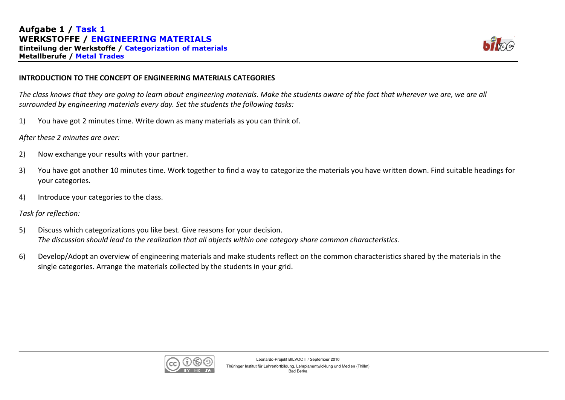

## INTRODUCTION TO THE CONCEPT OF ENGINEERING MATERIALS CATEGORIES

The class knows that they are going to learn about engineering materials. Make the students aware of the fact that wherever we are, we are all surrounded by engineering materials every day. Set the students the following tasks:

1)You have got 2 minutes time. Write down as many materials as you can think of.

After these 2 minutes are over:

- 2)Now exchange your results with your partner.
- 3) You have got another 10 minutes time. Work together to find a way to categorize the materials you have written down. Find suitable headings for your categories.
- 4)Introduce your categories to the class.

## Task for reflection:

- 5) Discuss which categorizations you like best. Give reasons for your decision. The discussion should lead to the realization that all objects within one category share common characteristics.
- 6) Develop/Adopt an overview of engineering materials and make students reflect on the common characteristics shared by the materials in the single categories. Arrange the materials collected by the students in your grid.

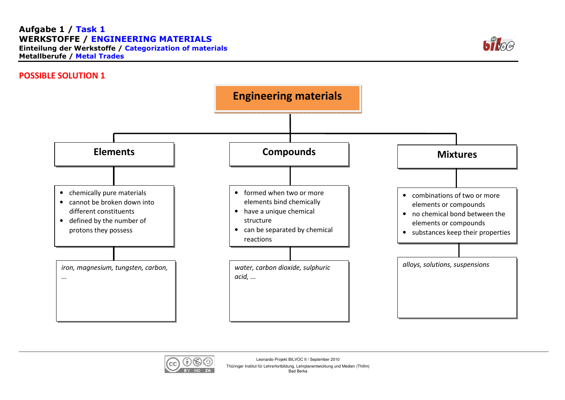## Aufgabe 1 / Task 1 WERKSTOFFE / ENGINEERING MATERIALS Einteilung der Werkstoffe / Categorization of materialsMetallberufe / Metal Trades



## POSSIBLE SOLUTION 1





Leonardo-Projekt BILVOC II / September 2010

Thüringer Institut für Lehrerfortbildung, Lehrplanentwicklung und Medien (Thillm) Bad Berka